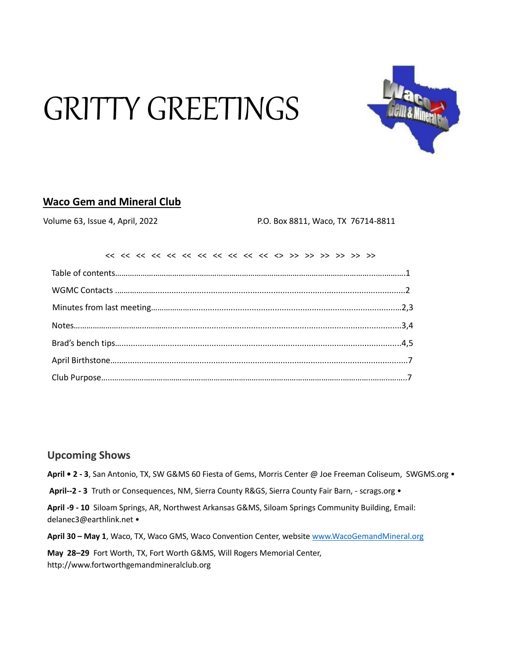# GRITTY GREETINGS



## **Waco Gem and Mineral Club**

Volume 63, Issue 4, April, 2022 P.O. Box 8811, Waco, TX 76714-8811

#### **Upcoming Shows**

**April • 2 - 3**, San Antonio, TX, SW G&MS 60 Fiesta of Gems, Morris Center @ Joe Freeman Coliseum, SWGMS.org •

**April--2 - 3** Truth or Consequences, NM, Sierra County R&GS, Sierra County Fair Barn, - scrags.org •

**April -9 - 10** Siloam Springs, AR, Northwest Arkansas G&MS, Siloam Springs Community Building, Email: delanec3@earthlink.net •

**April 30 – May 1**, Waco, TX, Waco GMS, Waco Convention Center, website [www.WacoGemandMineral.org](http://www.wacogemandmineral.org/)

**May 28–29** Fort Worth, TX, Fort Worth G&MS, Will Rogers Memorial Center, http://www.fortworthgemandmineralclub.org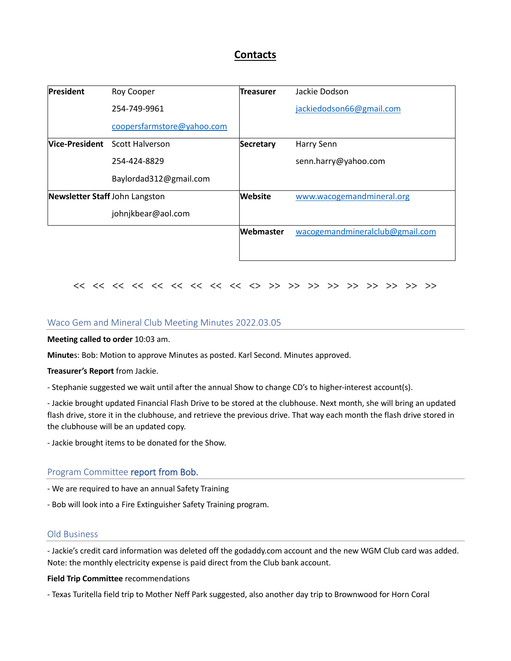## **Contacts**

| <b>President</b>               | Roy Cooper                            | <b>Treasurer</b> | Jackie Dodson                   |  |  |  |  |  |
|--------------------------------|---------------------------------------|------------------|---------------------------------|--|--|--|--|--|
|                                | 254-749-9961                          |                  | jackiedodson66@gmail.com        |  |  |  |  |  |
|                                | coopersfarmstore@yahoo.com            |                  |                                 |  |  |  |  |  |
|                                | <b>Nice-President</b> Scott Halverson | <b>Secretary</b> | Harry Senn                      |  |  |  |  |  |
|                                | 254-424-8829                          |                  | senn.harry@yahoo.com            |  |  |  |  |  |
|                                | Baylordad312@gmail.com                |                  |                                 |  |  |  |  |  |
| Newsletter Staff John Langston |                                       | <b>Website</b>   | www.wacogemandmineral.org       |  |  |  |  |  |
|                                | johnjkbear@aol.com                    |                  |                                 |  |  |  |  |  |
|                                |                                       | <b>Webmaster</b> | wacogemandmineralclub@gmail.com |  |  |  |  |  |
|                                |                                       |                  |                                 |  |  |  |  |  |

#### << << << << << << << << << <> >> >> >> >> >> >> >> >> >>

#### Waco Gem and Mineral Club Meeting Minutes 2022.03.05

**Meeting called to order** 10:03 am.

**Minute**s: Bob: Motion to approve Minutes as posted. Karl Second. Minutes approved.

**Treasurer's Report** from Jackie.

- Stephanie suggested we wait until after the annual Show to change CD's to higher-interest account(s).

- Jackie brought updated Financial Flash Drive to be stored at the clubhouse. Next month, she will bring an updated flash drive, store it in the clubhouse, and retrieve the previous drive. That way each month the flash drive stored in the clubhouse will be an updated copy.

- Jackie brought items to be donated for the Show.

#### Program Committee report from Bob.

- We are required to have an annual Safety Training
- Bob will look into a Fire Extinguisher Safety Training program.

#### Old Business

- Jackie's credit card information was deleted off the godaddy.com account and the new WGM Club card was added. Note: the monthly electricity expense is paid direct from the Club bank account.

**Field Trip Committee** recommendations

- Texas Turitella field trip to Mother Neff Park suggested, also another day trip to Brownwood for Horn Coral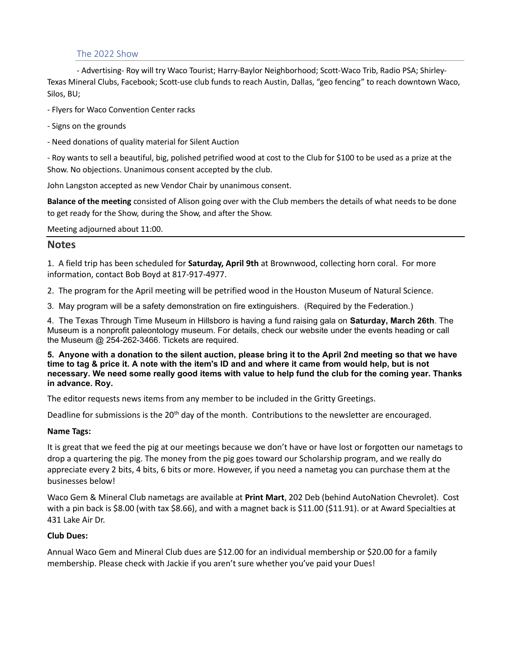#### The 2022 Show

- Advertising- Roy will try Waco Tourist; Harry-Baylor Neighborhood; Scott-Waco Trib, Radio PSA; Shirley-Texas Mineral Clubs, Facebook; Scott-use club funds to reach Austin, Dallas, "geo fencing" to reach downtown Waco, Silos, BU;

- Flyers for Waco Convention Center racks

- Signs on the grounds
- Need donations of quality material for Silent Auction

- Roy wants to sell a beautiful, big, polished petrified wood at cost to the Club for \$100 to be used as a prize at the Show. No objections. Unanimous consent accepted by the club.

John Langston accepted as new Vendor Chair by unanimous consent.

**Balance of the meeting** consisted of Alison going over with the Club members the details of what needs to be done to get ready for the Show, during the Show, and after the Show.

Meeting adjourned about 11:00.

#### **Notes**

1. A field trip has been scheduled for **Saturday, April 9th** at Brownwood, collecting horn coral. For more information, contact Bob Boyd at 817-917-4977.

2. The program for the April meeting will be petrified wood in the Houston Museum of Natural Science.

3. May program will be a safety demonstration on fire extinguishers. (Required by the Federation.)

4. The Texas Through Time Museum in Hillsboro is having a fund raising gala on **Saturday, March 26th**. The Museum is a nonprofit paleontology museum. For details, check our website under the events heading or call the Museum @ 254-262-3466. Tickets are required.

**5. Anyone with a donation to the silent auction, please bring it to the April 2nd meeting so that we have time to tag & price it. A note with the item's ID and and where it came from would help, but is not necessary. We need some really good items with value to help fund the club for the coming year. Thanks in advance. Roy.**

The editor requests news items from any member to be included in the Gritty Greetings.

Deadline for submissions is the  $20<sup>th</sup>$  day of the month. Contributions to the newsletter are encouraged.

#### **Name Tags:**

It is great that we feed the pig at our meetings because we don't have or have lost or forgotten our nametags to drop a quartering the pig. The money from the pig goes toward our Scholarship program, and we really do appreciate every 2 bits, 4 bits, 6 bits or more. However, if you need a nametag you can purchase them at the businesses below!

Waco Gem & Mineral Club nametags are available at **Print Mart**, 202 Deb (behind AutoNation Chevrolet). Cost with a pin back is \$8.00 (with tax \$8.66), and with a magnet back is \$11.00 (\$11.91). or at Award Specialties at 431 Lake Air Dr.

#### **Club Dues:**

Annual Waco Gem and Mineral Club dues are \$12.00 for an individual membership or \$20.00 for a family membership. Please check with Jackie if you aren't sure whether you've paid your Dues!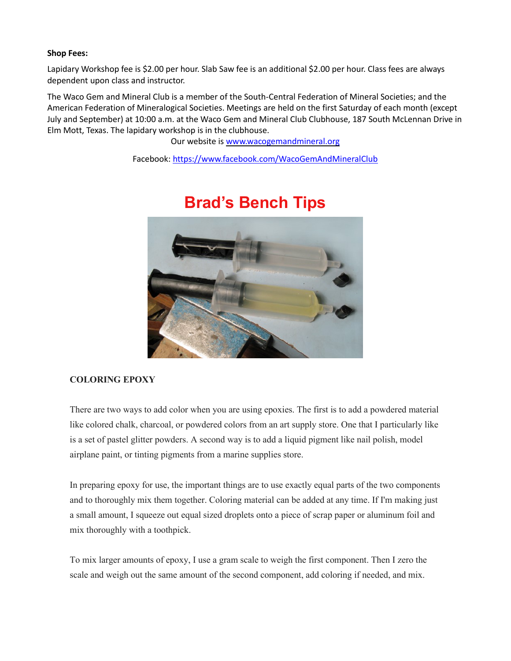#### **Shop Fees:**

Lapidary Workshop fee is \$2.00 per hour. Slab Saw fee is an additional \$2.00 per hour. Class fees are always dependent upon class and instructor.

The Waco Gem and Mineral Club is a member of the South-Central Federation of Mineral Societies; and the American Federation of Mineralogical Societies. Meetings are held on the first Saturday of each month (except July and September) at 10:00 a.m. at the Waco Gem and Mineral Club Clubhouse, 187 South McLennan Drive in Elm Mott, Texas. The lapidary workshop is in the clubhouse.

Our website is www.wacogemandmineral.org

Facebook:<https://www.facebook.com/WacoGemAndMineralClub>



# **Brad's Bench Tips**

#### **COLORING EPOXY**

There are two ways to add color when you are using epoxies. The first is to add a powdered material like colored chalk, charcoal, or powdered colors from an art supply store. One that I particularly like is a set of pastel glitter powders. A second way is to add a liquid pigment like nail polish, model airplane paint, or tinting pigments from a marine supplies store.

In preparing epoxy for use, the important things are to use exactly equal parts of the two components and to thoroughly mix them together. Coloring material can be added at any time. If I'm making just a small amount, I squeeze out equal sized droplets onto a piece of scrap paper or aluminum foil and mix thoroughly with a toothpick.

To mix larger amounts of epoxy, I use a gram scale to weigh the first component. Then I zero the scale and weigh out the same amount of the second component, add coloring if needed, and mix.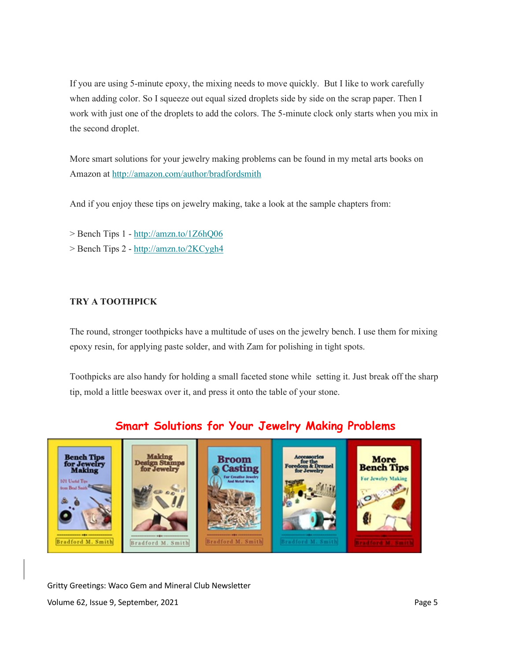If you are using 5-minute epoxy, the mixing needs to move quickly. But I like to work carefully when adding color. So I squeeze out equal sized droplets side by side on the scrap paper. Then I work with just one of the droplets to add the colors. The 5-minute clock only starts when you mix in the second droplet.

More smart solutions for your jewelry making problems can be found in my metal arts books on Amazon at <http://amazon.com/author/bradfordsmith>

And if you enjoy these tips on jewelry making, take a look at the sample chapters from:

> Bench Tips 1 - [http://amzn.to/1Z6hQ06](https://yahoo.us2.list-manage.com/track/click?u=3776893dbca0504c24d5ac1a7&id=8650fabc84&e=7facca6d2c)

> Bench Tips 2 - [http://amzn.to/2KCygh4](https://yahoo.us2.list-manage.com/track/click?u=3776893dbca0504c24d5ac1a7&id=a741bcdf0f&e=7facca6d2c)

#### **TRY A TOOTHPICK**

The round, stronger toothpicks have a multitude of uses on the jewelry bench. I use them for mixing epoxy resin, for applying paste solder, and with Zam for polishing in tight spots.

Toothpicks are also handy for holding a small faceted stone while setting it. Just break off the sharp tip, mold a little beeswax over it, and press it onto the table of your stone.

#### Making **Bench Tip Broom** More for Jewelry<br>Making m Stampe **Bench Tips** asting Jewelry Making rd M Bradford M. Smith

Gritty Greetings: Waco Gem and Mineral Club Newsletter Volume 62, Issue 9, September, 2021 **Page 5** and the set of the separate separate set of the separate set of the separate set of the separate set of the separate set of the set of the separate set of the separate set of th

# **Smart Solutions for Your Jewelry Making Problems**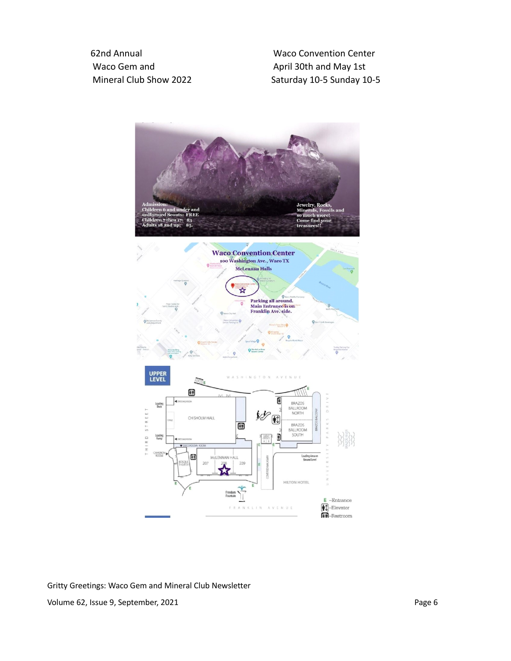62nd Annual Waco Convention Center Waco Gem and April 30th and May 1st

Mineral Club Show 2022 Saturday 10-5 Sunday 10-5



Gritty Greetings: Waco Gem and Mineral Club Newsletter Volume 62, Issue 9, September, 2021 **Page 6**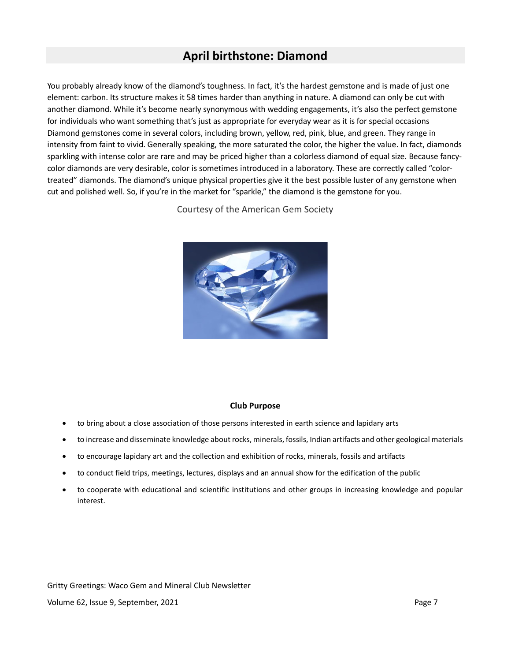# **April birthstone: Diamond**

You probably already know of the diamond's toughness. In fact, it's the hardest gemstone and is made of just one element: carbon. Its structure makes it 58 times harder than anything in nature. A diamond can only be cut with another diamond. While it's become nearly synonymous with wedding engagements, it's also the perfect gemstone for individuals who want something that's just as appropriate for everyday wear as it is for special occasions Diamond gemstones come in several colors, including brown, yellow, red, pink, blue, and green. They range in intensity from faint to vivid. Generally speaking, the more saturated the color, the higher the value. In fact, diamonds sparkling with intense color are rare and may be priced higher than a colorless diamond of equal size. Because fancycolor diamonds are very desirable, color is sometimes introduced in a laboratory. These are correctly called "colortreated" diamonds. The diamond's unique physical properties give it the best possible luster of any gemstone when cut and polished well. So, if you're in the market for "sparkle," the diamond is the gemstone for you.

Courtesy of the American Gem Society



#### **Club Purpose**

- to bring about a close association of those persons interested in earth science and lapidary arts
- to increase and disseminate knowledge about rocks, minerals, fossils, Indian artifacts and other geological materials
- to encourage lapidary art and the collection and exhibition of rocks, minerals, fossils and artifacts
- to conduct field trips, meetings, lectures, displays and an annual show for the edification of the public
- to cooperate with educational and scientific institutions and other groups in increasing knowledge and popular interest.

Gritty Greetings: Waco Gem and Mineral Club Newsletter Volume 62, Issue 9, September, 2021 **Page 7** and the separation of the separation of the separation of the separation of the separation of the separation of the separation of the separation of the separation of the separat